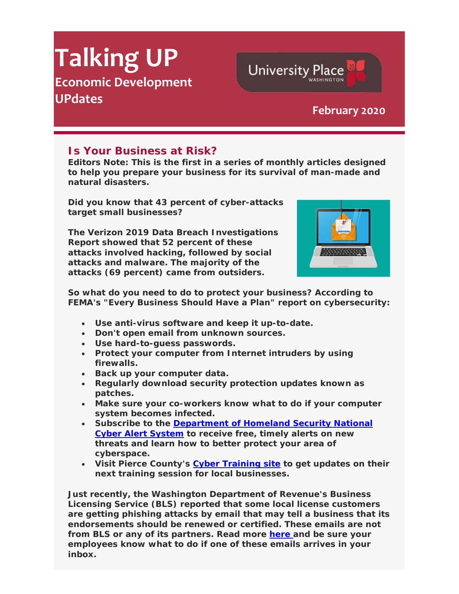## **Talking UP Economic Development UPdates February <sup>2020</sup>**

## **Is Your Business at Risk?**

*Editors Note: This is the first in a series of monthly articles designed to help you prepare your business for its survival of man-made and natural disasters.* 

**Did you know that 43 percent of cyber-attacks target small businesses?**

**The Verizon 2019 Data Breach Investigations Report showed that 52 percent of these attacks involved hacking, followed by social attacks and malware. The majority of the attacks (69 percent) came from outsiders.** 



**University Place** 

**So what do you need to do to protect your business? According to FEMA's "Every Business Should Have a Plan" report on cybersecurity:**

- **Use anti-virus software and keep it up-to-date.**
- **Don't open email from unknown sources.**
- **Use hard-to-guess passwords.**
- **Protect your computer from Internet intruders by using firewalls.**
- **Back up your computer data.**
- **Regularly download security protection updates known as patches.**
- **Make sure your co-workers know what to do if your computer system becomes infected.**
- **Subscribe to the Department of Homeland Security National Cyber Alert System to receive free, timely alerts on new threats and learn how to better protect your area of cyberspace.**
- **Visit Pierce County's Cyber Training site to get updates on their next training session for local businesses.**

**Just recently, the Washington Department of Revenue's Business Licensing Service (BLS) reported that some local license customers are getting phishing attacks by email that may tell a business that its endorsements should be renewed or certified. These emails are not from BLS or any of its partners. Read more here and be sure your employees know what to do if one of these emails arrives in your inbox.**